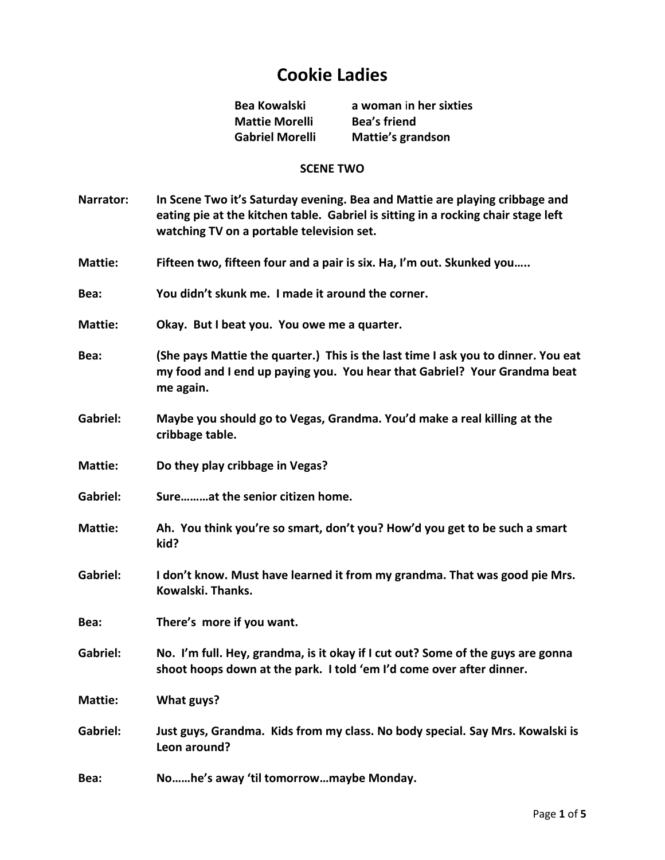## **Cookie Ladies**

**Bea Kowalski a woman** i**n her sixties Mattie Morelli Bea's friend Gabriel Morelli Mattie's grandson**

## **SCENE TWO**

- **Narrator: In Scene Two it's Saturday evening. Bea and Mattie are playing cribbage and eating pie at the kitchen table. Gabriel is sitting in a rocking chair stage left watching TV on a portable television set.**
- **Mattie: Fifteen two, fifteen four and a pair is six. Ha, I'm out. Skunked you…..**
- **Bea: You didn't skunk me. I made it around the corner.**
- **Mattie: Okay. But I beat you. You owe me a quarter.**
- **Bea: (She pays Mattie the quarter.) This is the last time I ask you to dinner. You eat my food and I end up paying you. You hear that Gabriel? Your Grandma beat me again.**
- **Gabriel: Maybe you should go to Vegas, Grandma. You'd make a real killing at the cribbage table.**
- **Mattie: Do they play cribbage in Vegas?**
- **Gabriel: Sure………at the senior citizen home.**
- **Mattie: Ah. You think you're so smart, don't you? How'd you get to be such a smart kid?**
- **Gabriel: I don't know. Must have learned it from my grandma. That was good pie Mrs. Kowalski. Thanks.**
- **Bea: There's more if you want.**
- **Gabriel: No. I'm full. Hey, grandma, is it okay if I cut out? Some of the guys are gonna shoot hoops down at the park. I told 'em I'd come over after dinner.**

**Mattie: What guys?**

**Gabriel: Just guys, Grandma. Kids from my class. No body special. Say Mrs. Kowalski is Leon around?**

**Bea: No……he's away 'til tomorrow…maybe Monday.**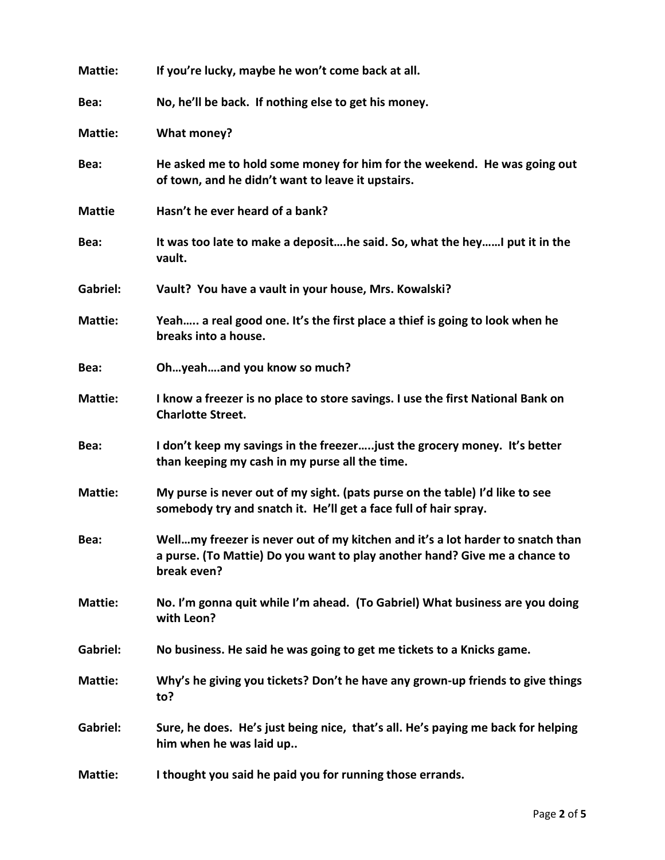| <b>Mattie:</b>  | If you're lucky, maybe he won't come back at all.                                                                                                                           |
|-----------------|-----------------------------------------------------------------------------------------------------------------------------------------------------------------------------|
| Bea:            | No, he'll be back. If nothing else to get his money.                                                                                                                        |
| <b>Mattie:</b>  | <b>What money?</b>                                                                                                                                                          |
| Bea:            | He asked me to hold some money for him for the weekend. He was going out<br>of town, and he didn't want to leave it upstairs.                                               |
| <b>Mattie</b>   | Hasn't he ever heard of a bank?                                                                                                                                             |
| Bea:            | It was too late to make a deposithe said. So, what the heyI put it in the<br>vault.                                                                                         |
| <b>Gabriel:</b> | Vault? You have a vault in your house, Mrs. Kowalski?                                                                                                                       |
| <b>Mattie:</b>  | Yeah a real good one. It's the first place a thief is going to look when he<br>breaks into a house.                                                                         |
| Bea:            | Ohyeahand you know so much?                                                                                                                                                 |
| <b>Mattie:</b>  | I know a freezer is no place to store savings. I use the first National Bank on<br><b>Charlotte Street.</b>                                                                 |
| Bea:            | I don't keep my savings in the freezer just the grocery money. It's better<br>than keeping my cash in my purse all the time.                                                |
| <b>Mattie:</b>  | My purse is never out of my sight. (pats purse on the table) I'd like to see<br>somebody try and snatch it. He'll get a face full of hair spray.                            |
| Bea:            | Wellmy freezer is never out of my kitchen and it's a lot harder to snatch than<br>a purse. (To Mattie) Do you want to play another hand? Give me a chance to<br>break even? |
| <b>Mattie:</b>  | No. I'm gonna quit while I'm ahead. (To Gabriel) What business are you doing<br>with Leon?                                                                                  |
| Gabriel:        | No business. He said he was going to get me tickets to a Knicks game.                                                                                                       |
| Mattie:         | Why's he giving you tickets? Don't he have any grown-up friends to give things<br>to?                                                                                       |
| Gabriel:        | Sure, he does. He's just being nice, that's all. He's paying me back for helping<br>him when he was laid up                                                                 |
| <b>Mattie:</b>  | I thought you said he paid you for running those errands.                                                                                                                   |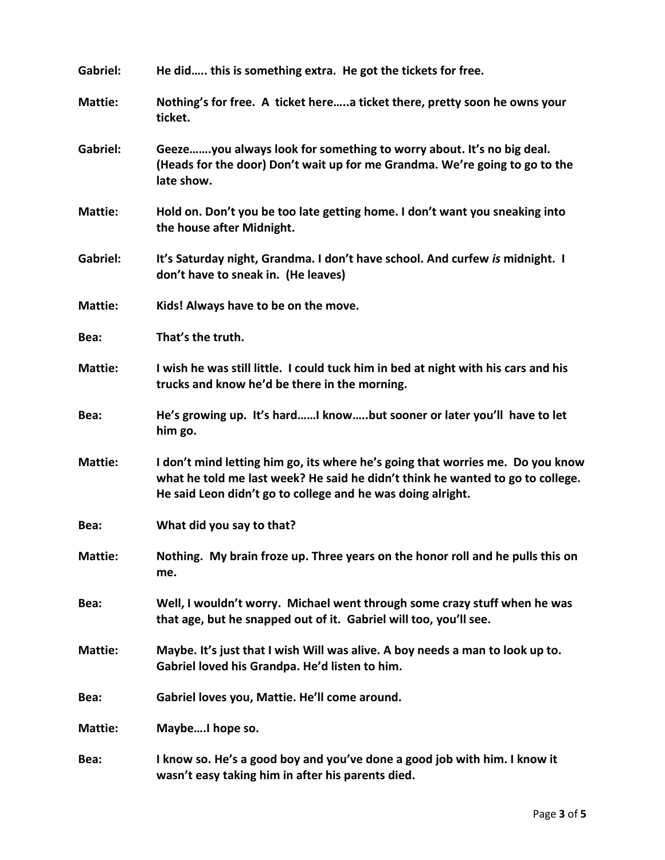| Gabriel:       | He did this is something extra. He got the tickets for free.                                                                                                                                                                    |
|----------------|---------------------------------------------------------------------------------------------------------------------------------------------------------------------------------------------------------------------------------|
| <b>Mattie:</b> | Nothing's for free. A ticket herea ticket there, pretty soon he owns your<br>ticket.                                                                                                                                            |
| Gabriel:       | Geezeyou always look for something to worry about. It's no big deal.<br>(Heads for the door) Don't wait up for me Grandma. We're going to go to the<br>late show.                                                               |
| <b>Mattie:</b> | Hold on. Don't you be too late getting home. I don't want you sneaking into<br>the house after Midnight.                                                                                                                        |
| Gabriel:       | It's Saturday night, Grandma. I don't have school. And curfew is midnight. I<br>don't have to sneak in. (He leaves)                                                                                                             |
| <b>Mattie:</b> | Kids! Always have to be on the move.                                                                                                                                                                                            |
| Bea:           | That's the truth.                                                                                                                                                                                                               |
| <b>Mattie:</b> | I wish he was still little. I could tuck him in bed at night with his cars and his<br>trucks and know he'd be there in the morning.                                                                                             |
| Bea:           | He's growing up. It's hardI knowbut sooner or later you'll have to let<br>him go.                                                                                                                                               |
| <b>Mattie:</b> | I don't mind letting him go, its where he's going that worries me. Do you know<br>what he told me last week? He said he didn't think he wanted to go to college.<br>He said Leon didn't go to college and he was doing alright. |
| Bea:           | What did you say to that?                                                                                                                                                                                                       |
| Mattie:        | Nothing. My brain froze up. Three years on the honor roll and he pulls this on<br>me.                                                                                                                                           |
| Bea:           | Well, I wouldn't worry. Michael went through some crazy stuff when he was<br>that age, but he snapped out of it. Gabriel will too, you'll see.                                                                                  |
| Mattie:        | Maybe. It's just that I wish Will was alive. A boy needs a man to look up to.<br>Gabriel loved his Grandpa. He'd listen to him.                                                                                                 |
| Bea:           | Gabriel loves you, Mattie. He'll come around.                                                                                                                                                                                   |
| <b>Mattie:</b> | MaybeI hope so.                                                                                                                                                                                                                 |
| Bea:           | I know so. He's a good boy and you've done a good job with him. I know it<br>wasn't easy taking him in after his parents died.                                                                                                  |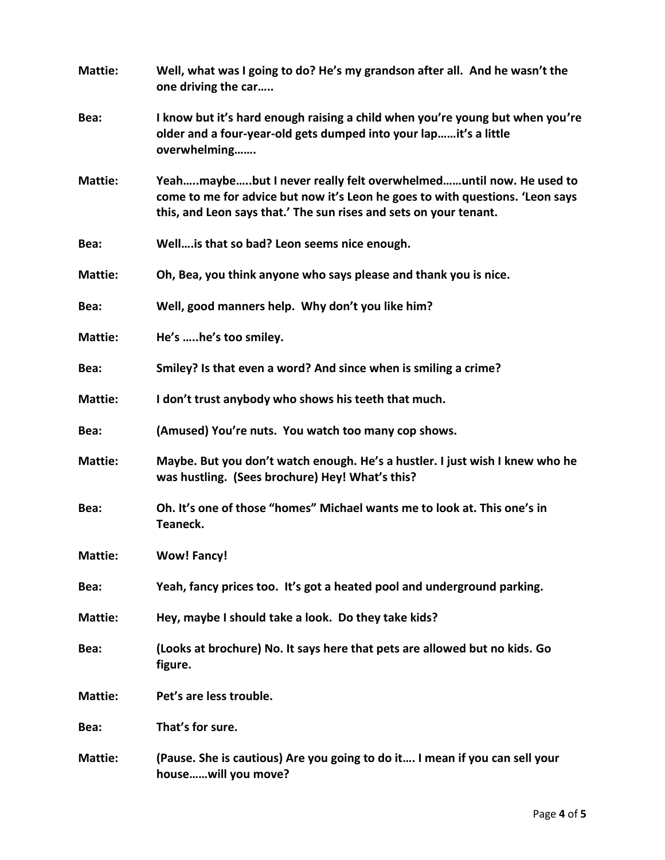| <b>Mattie:</b> | Well, what was I going to do? He's my grandson after all. And he wasn't the<br>one driving the car                                                                                                                      |
|----------------|-------------------------------------------------------------------------------------------------------------------------------------------------------------------------------------------------------------------------|
| Bea:           | I know but it's hard enough raising a child when you're young but when you're<br>older and a four-year-old gets dumped into your lapit's a little<br>overwhelming                                                       |
| Mattie:        | Yeahmaybebut I never really felt overwhelmeduntil now. He used to<br>come to me for advice but now it's Leon he goes to with questions. 'Leon says<br>this, and Leon says that.' The sun rises and sets on your tenant. |
| Bea:           | Well is that so bad? Leon seems nice enough.                                                                                                                                                                            |
| <b>Mattie:</b> | Oh, Bea, you think anyone who says please and thank you is nice.                                                                                                                                                        |
| Bea:           | Well, good manners help. Why don't you like him?                                                                                                                                                                        |
| <b>Mattie:</b> | He's he's too smiley.                                                                                                                                                                                                   |
| Bea:           | Smiley? Is that even a word? And since when is smiling a crime?                                                                                                                                                         |
| <b>Mattie:</b> | I don't trust anybody who shows his teeth that much.                                                                                                                                                                    |
| Bea:           | (Amused) You're nuts. You watch too many cop shows.                                                                                                                                                                     |
| <b>Mattie:</b> | Maybe. But you don't watch enough. He's a hustler. I just wish I knew who he<br>was hustling. (Sees brochure) Hey! What's this?                                                                                         |
| Bea:           | Oh. It's one of those "homes" Michael wants me to look at. This one's in<br>Teaneck.                                                                                                                                    |
| <b>Mattie:</b> | <b>Wow! Fancy!</b>                                                                                                                                                                                                      |
| Bea:           | Yeah, fancy prices too. It's got a heated pool and underground parking.                                                                                                                                                 |
| Mattie:        | Hey, maybe I should take a look. Do they take kids?                                                                                                                                                                     |
| Bea:           | (Looks at brochure) No. It says here that pets are allowed but no kids. Go<br>figure.                                                                                                                                   |
| <b>Mattie:</b> | Pet's are less trouble.                                                                                                                                                                                                 |
| Bea:           | That's for sure.                                                                                                                                                                                                        |
| <b>Mattie:</b> | (Pause. She is cautious) Are you going to do it I mean if you can sell your<br>housewill you move?                                                                                                                      |